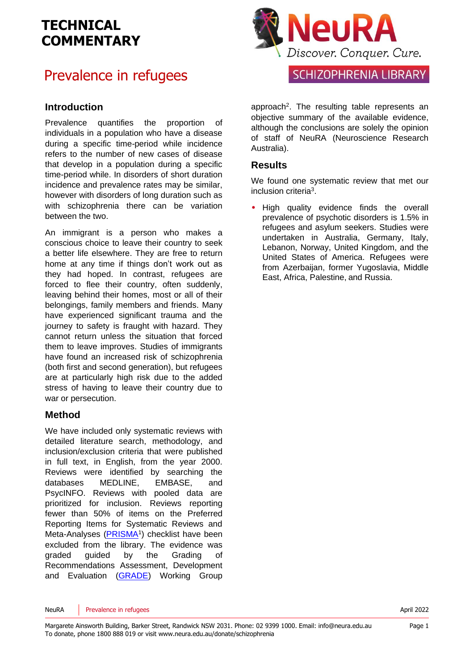## Prevalence in refugees

#### **Introduction**

Prevalence quantifies the proportion of individuals in a population who have a disease during a specific time-period while incidence refers to the number of new cases of disease that develop in a population during a specific time-period while. In disorders of short duration incidence and prevalence rates may be similar, however with disorders of long duration such as with schizophrenia there can be variation between the two.

An immigrant is a person who makes a conscious choice to leave their country to seek a better life elsewhere. They are free to return home at any time if things don't work out as they had hoped. In contrast, refugees are forced to flee their country, often suddenly, leaving behind their homes, most or all of their belongings, family members and friends. Many have experienced significant trauma and the journey to safety is fraught with hazard. They cannot return unless the situation that forced them to leave improves. Studies of immigrants have found an increased risk of schizophrenia (both first and second generation), but refugees are at particularly high risk due to the added stress of having to leave their country due to war or persecution.

#### **Method**

We have included only systematic reviews with detailed literature search, methodology, and inclusion/exclusion criteria that were published in full text, in English, from the year 2000. Reviews were identified by searching the databases MEDLINE, EMBASE, and PsycINFO. Reviews with pooled data are prioritized for inclusion. Reviews reporting fewer than 50% of items on the Preferred Reporting Items for Systematic Reviews and Meta-Analyses [\(PRISMA](http://www.prisma-statement.org/)<sup>[1](#page-4-0)</sup>) checklist have been excluded from the library. The evidence was graded guided by the Grading of Recommendations Assessment, Development and Evaluation [\(GRADE\)](http://www.gradeworkinggroup.org/) Working Group



### SCHIZOPHRENIA LIBRARY

approach<sup>[2](#page-4-1)</sup>. The resulting table represents an objective summary of the available evidence, although the conclusions are solely the opinion of staff of NeuRA (Neuroscience Research Australia).

#### **Results**

We found one systematic review that met our inclusion criteri[a](#page-4-2)<sup>3</sup> .

• High quality evidence finds the overall prevalence of psychotic disorders is 1.5% in refugees and asylum seekers. Studies were undertaken in Australia, Germany, Italy, Lebanon, Norway, United Kingdom, and the United States of America. Refugees were from Azerbaijan, former Yugoslavia, Middle East, Africa, Palestine, and Russia.

NeuRA Prevalence in refugees **April 2022** 

Page 1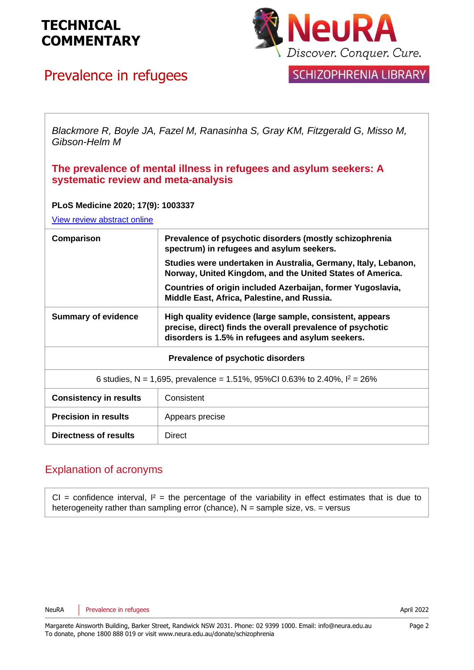

## Prevalence in refugees



### **SCHIZOPHRENIA LIBRARY**

*Blackmore R, Boyle JA, Fazel M, Ranasinha S, Gray KM, Fitzgerald G, Misso M, Gibson-Helm M*

#### **The prevalence of mental illness in refugees and asylum seekers: A systematic review and meta-analysis**

#### **PLoS Medicine 2020; 17(9): 1003337**

[View review abstract online](https://pubmed.ncbi.nlm.nih.gov/31778780/)

| Comparison                                                                   | Prevalence of psychotic disorders (mostly schizophrenia<br>spectrum) in refugees and asylum seekers.                                                                        |
|------------------------------------------------------------------------------|-----------------------------------------------------------------------------------------------------------------------------------------------------------------------------|
|                                                                              | Studies were undertaken in Australia, Germany, Italy, Lebanon,<br>Norway, United Kingdom, and the United States of America.                                                 |
|                                                                              | Countries of origin included Azerbaijan, former Yugoslavia,<br>Middle East, Africa, Palestine, and Russia.                                                                  |
| <b>Summary of evidence</b>                                                   | High quality evidence (large sample, consistent, appears<br>precise, direct) finds the overall prevalence of psychotic<br>disorders is 1.5% in refugees and asylum seekers. |
| Prevalence of psychotic disorders                                            |                                                                                                                                                                             |
| 6 studies, N = 1,695, prevalence = 1.51%, 95%CI 0.63% to 2.40%, $I^2 = 26\%$ |                                                                                                                                                                             |
| <b>Consistency in results</b>                                                | Consistent                                                                                                                                                                  |
| <b>Precision in results</b>                                                  | Appears precise                                                                                                                                                             |
| Directness of results                                                        | <b>Direct</b>                                                                                                                                                               |

#### Explanation of acronyms

CI = confidence interval,  $I^2$  = the percentage of the variability in effect estimates that is due to heterogeneity rather than sampling error (chance),  $N =$  sample size, vs. = versus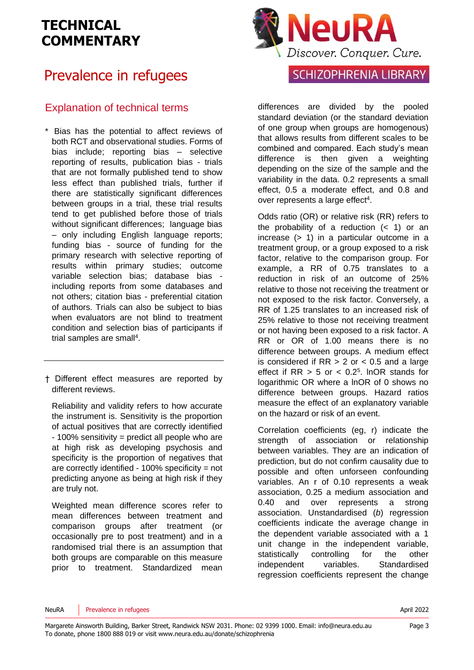## Prevalence in refugees

#### Explanation of technical terms

- \* Bias has the potential to affect reviews of both RCT and observational studies. Forms of bias include; reporting bias – selective reporting of results, publication bias - trials that are not formally published tend to show less effect than published trials, further if there are statistically significant differences between groups in a trial, these trial results tend to get published before those of trials without significant differences; language bias – only including English language reports; funding bias - source of funding for the primary research with selective reporting of results within primary studies; outcome variable selection bias; database bias including reports from some databases and not others; citation bias - preferential citation of authors. Trials can also be subject to bias when evaluators are not blind to treatment condition and selection bias of participants if trial samples are sma[ll](#page-4-3)<sup>4</sup>.
- † Different effect measures are reported by different reviews.

Reliability and validity refers to how accurate the instrument is. Sensitivity is the proportion of actual positives that are correctly identified - 100% sensitivity = predict all people who are at high risk as developing psychosis and specificity is the proportion of negatives that are correctly identified - 100% specificity = not predicting anyone as being at high risk if they are truly not.

Weighted mean difference scores refer to mean differences between treatment and comparison groups after treatment (or occasionally pre to post treatment) and in a randomised trial there is an assumption that both groups are comparable on this measure prior to treatment. Standardized mean



### **SCHIZOPHRENIA LIBRARY**

differences are divided by the pooled standard deviation (or the standard deviation of one group when groups are homogenous) that allows results from different scales to be combined and compared. Each study's mean difference is then given a weighting depending on the size of the sample and the variability in the data. 0.2 represents a small effect, 0.5 a moderate effect, and 0.8 and over represen[t](#page-4-3)s a large effect<sup>4</sup>.

Odds ratio (OR) or relative risk (RR) refers to the probability of a reduction  $( $1$ )$  or an increase (> 1) in a particular outcome in a treatment group, or a group exposed to a risk factor, relative to the comparison group. For example, a RR of 0.75 translates to a reduction in risk of an outcome of 25% relative to those not receiving the treatment or not exposed to the risk factor. Conversely, a RR of 1.25 translates to an increased risk of 25% relative to those not receiving treatment or not having been exposed to a risk factor. A RR or OR of 1.00 means there is no difference between groups. A medium effect is considered if  $RR > 2$  or  $< 0.5$  and a large effect if  $RR > 5$  or  $< 0.2<sup>5</sup>$  $< 0.2<sup>5</sup>$  $< 0.2<sup>5</sup>$ . InOR stands for logarithmic OR where a lnOR of 0 shows no difference between groups. Hazard ratios measure the effect of an explanatory variable on the hazard or risk of an event.

Correlation coefficients (eg, r) indicate the strength of association or relationship between variables. They are an indication of prediction, but do not confirm causality due to possible and often unforseen confounding variables. An r of 0.10 represents a weak association, 0.25 a medium association and 0.40 and over represents a strong association. Unstandardised (*b*) regression coefficients indicate the average change in the dependent variable associated with a 1 unit change in the independent variable, statistically controlling for the other independent variables. Standardised regression coefficients represent the change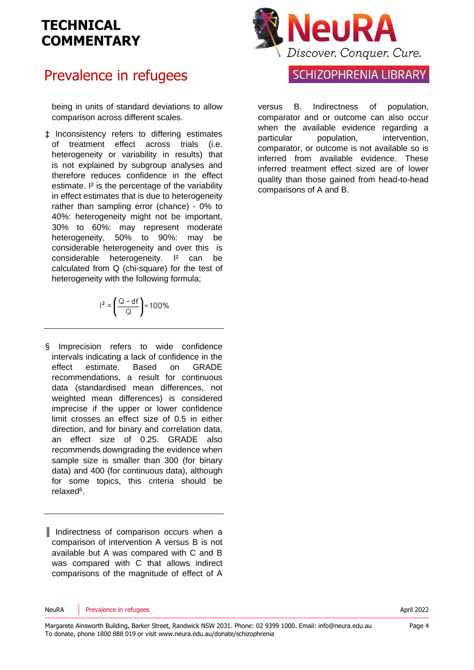### Prevalence in refugees

being in units of standard deviations to allow comparison across different scales.

‡ Inconsistency refers to differing estimates of treatment effect across trials (i.e. heterogeneity or variability in results) that is not explained by subgroup analyses and therefore reduces confidence in the effect estimate. I<sup>2</sup> is the percentage of the variability in effect estimates that is due to heterogeneity rather than sampling error (chance) - 0% to 40%: heterogeneity might not be important, 30% to 60%: may represent moderate heterogeneity, 50% to 90%: may be considerable heterogeneity and over this is considerable heterogeneity. I² can be calculated from Q (chi-square) for the test of heterogeneity with the following formula:

$$
l^2=\left(\frac{Q-df}{Q}\right)\times 100\%
$$

§ Imprecision refers to wide confidence intervals indicating a lack of confidence in the effect estimate. Based on GRADE recommendations, a result for continuous data (standardised mean differences, not weighted mean differences) is considered imprecise if the upper or lower confidence limit crosses an effect size of 0.5 in either direction, and for binary and correlation data, an effect size of 0.25. GRADE also recommends downgrading the evidence when sample size is smaller than 300 (for binary data) and 400 (for continuous data), although for some topics, this criteria should be relaxe[d](#page-4-5)<sup>6</sup>.

║ Indirectness of comparison occurs when a comparison of intervention A versus B is not available but A was compared with C and B was compared with C that allows indirect comparisons of the magnitude of effect of A



#### **SCHIZOPHRENIA LIBRARY**

versus B. Indirectness of population, comparator and or outcome can also occur when the available evidence regarding a particular population, intervention, comparator, or outcome is not available so is inferred from available evidence. These inferred treatment effect sized are of lower quality than those gained from head-to-head comparisons of A and B.

NeuRA Prevalence in refugees **April 2022** 

Page 4